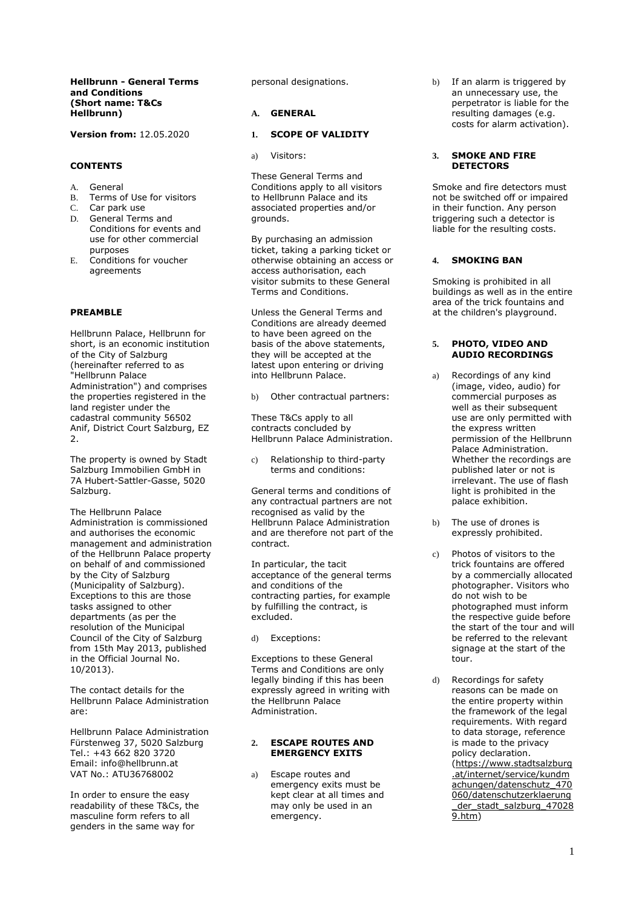### **Hellbrunn - General Terms and Conditions (Short name: T&Cs Hellbrunn)**

**Version from:** 12.05.2020

## **CONTENTS**

- A. General<br>B. Terms o
- Terms of Use for visitors
- C. Car park use<br>D. General Term
- General Terms and Conditions for events and use for other commercial purposes
- E. Conditions for voucher agreements

## **PREAMBLE**

Hellbrunn Palace, Hellbrunn for short, is an economic institution of the City of Salzburg (hereinafter referred to as "Hellbrunn Palace Administration") and comprises the properties registered in the land register under the cadastral community 56502 Anif, District Court Salzburg, EZ 2.

The property is owned by Stadt Salzburg Immobilien GmbH in 7A Hubert-Sattler-Gasse, 5020 Salzburg.

The Hellbrunn Palace Administration is commissioned and authorises the economic management and administration of the Hellbrunn Palace property on behalf of and commissioned by the City of Salzburg (Municipality of Salzburg). Exceptions to this are those tasks assigned to other departments (as per the resolution of the Municipal Council of the City of Salzburg from 15th May 2013, published in the Official Journal No. 10/2013).

The contact details for the Hellbrunn Palace Administration are:

Hellbrunn Palace Administration Fürstenweg 37, 5020 Salzburg Tel.: +43 662 820 3720 Email: info@hellbrunn.at VAT No.: ATU36768002

In order to ensure the easy readability of these T&Cs, the masculine form refers to all genders in the same way for

personal designations.

## **A. GENERAL**

## **1. SCOPE OF VALIDITY**

a) Visitors:

These General Terms and Conditions apply to all visitors to Hellbrunn Palace and its associated properties and/or grounds.

By purchasing an admission ticket, taking a parking ticket or otherwise obtaining an access or access authorisation, each visitor submits to these General Terms and Conditions.

Unless the General Terms and Conditions are already deemed to have been agreed on the basis of the above statements, they will be accepted at the latest upon entering or driving into Hellbrunn Palace.

b) Other contractual partners:

These T&Cs apply to all contracts concluded by Hellbrunn Palace Administration.

c) Relationship to third-party terms and conditions:

General terms and conditions of any contractual partners are not recognised as valid by the Hellbrunn Palace Administration and are therefore not part of the contract.

In particular, the tacit acceptance of the general terms and conditions of the contracting parties, for example by fulfilling the contract, is excluded.

d) Exceptions:

Exceptions to these General Terms and Conditions are only legally binding if this has been expressly agreed in writing with the Hellbrunn Palace Administration.

### **2. ESCAPE ROUTES AND EMERGENCY EXITS**

a) Escape routes and emergency exits must be kept clear at all times and may only be used in an emergency.

b) If an alarm is triggered by an unnecessary use, the perpetrator is liable for the resulting damages (e.g. costs for alarm activation).

### **3. SMOKE AND FIRE DETECTORS**

Smoke and fire detectors must not be switched off or impaired in their function. Any person triggering such a detector is liable for the resulting costs.

# **4. SMOKING BAN**

Smoking is prohibited in all buildings as well as in the entire area of the trick fountains and at the children's playground.

## **5. PHOTO, VIDEO AND AUDIO RECORDINGS**

- a) Recordings of any kind (image, video, audio) for commercial purposes as well as their subsequent use are only permitted with the express written permission of the Hellbrunn Palace Administration. Whether the recordings are published later or not is irrelevant. The use of flash light is prohibited in the palace exhibition.
- b) The use of drones is expressly prohibited.
- c) Photos of visitors to the trick fountains are offered by a commercially allocated photographer. Visitors who do not wish to be photographed must inform the respective guide before the start of the tour and will be referred to the relevant signage at the start of the tour.
- d) Recordings for safety reasons can be made on the entire property within the framework of the legal requirements. With regard to data storage, reference is made to the privacy policy declaration. (https://www.stadtsalzburg .at/internet/service/kundm achungen/datenschutz 470 060/datenschutzerklaerung der\_stadt\_salzburg\_47028 9.htm)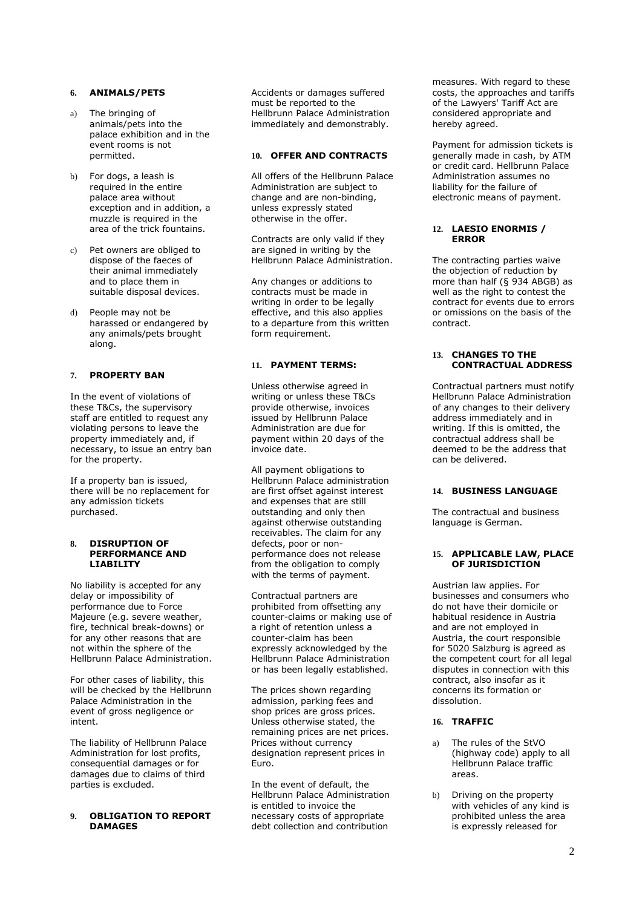# **6. ANIMALS/PETS**

- a) The bringing of animals/pets into the palace exhibition and in the event rooms is not permitted.
- b) For dogs, a leash is required in the entire palace area without exception and in addition, a muzzle is required in the area of the trick fountains.
- c) Pet owners are obliged to dispose of the faeces of their animal immediately and to place them in suitable disposal devices.
- d) People may not be harassed or endangered by any animals/pets brought along.

## **7. PROPERTY BAN**

In the event of violations of these T&Cs, the supervisory staff are entitled to request any violating persons to leave the property immediately and, if necessary, to issue an entry ban for the property.

If a property ban is issued, there will be no replacement for any admission tickets purchased.

#### **8. DISRUPTION OF PERFORMANCE AND LIABILITY**

No liability is accepted for any delay or impossibility of performance due to Force Majeure (e.g. severe weather, fire, technical break-downs) or for any other reasons that are not within the sphere of the Hellbrunn Palace Administration.

For other cases of liability, this will be checked by the Hellbrunn Palace Administration in the event of gross negligence or intent.

The liability of Hellbrunn Palace Administration for lost profits, consequential damages or for damages due to claims of third parties is excluded.

### **9. OBLIGATION TO REPORT DAMAGES**

Accidents or damages suffered must be reported to the Hellbrunn Palace Administration immediately and demonstrably.

### **10. OFFER AND CONTRACTS**

All offers of the Hellbrunn Palace Administration are subject to change and are non-binding, unless expressly stated otherwise in the offer.

Contracts are only valid if they are signed in writing by the Hellbrunn Palace Administration.

Any changes or additions to contracts must be made in writing in order to be legally effective, and this also applies to a departure from this written form requirement.

## **11. PAYMENT TERMS:**

Unless otherwise agreed in writing or unless these T&Cs provide otherwise, invoices issued by Hellbrunn Palace Administration are due for payment within 20 days of the invoice date.

All payment obligations to Hellbrunn Palace administration are first offset against interest and expenses that are still outstanding and only then against otherwise outstanding receivables. The claim for any defects, poor or nonperformance does not release from the obligation to comply with the terms of payment.

Contractual partners are prohibited from offsetting any counter-claims or making use of a right of retention unless a counter-claim has been expressly acknowledged by the Hellbrunn Palace Administration or has been legally established.

The prices shown regarding admission, parking fees and shop prices are gross prices. Unless otherwise stated, the remaining prices are net prices. Prices without currency designation represent prices in Euro.

In the event of default, the Hellbrunn Palace Administration is entitled to invoice the necessary costs of appropriate debt collection and contribution

measures. With regard to these costs, the approaches and tariffs of the Lawyers' Tariff Act are considered appropriate and hereby agreed.

Payment for admission tickets is generally made in cash, by ATM or credit card. Hellbrunn Palace Administration assumes no liability for the failure of electronic means of payment.

### **12. LAESIO ENORMIS / ERROR**

The contracting parties waive the objection of reduction by more than half (§ 934 ABGB) as well as the right to contest the contract for events due to errors or omissions on the basis of the contract.

### **13. CHANGES TO THE CONTRACTUAL ADDRESS**

Contractual partners must notify Hellbrunn Palace Administration of any changes to their delivery address immediately and in writing. If this is omitted, the contractual address shall be deemed to be the address that can be delivered.

# **14. BUSINESS LANGUAGE**

The contractual and business language is German.

#### **15. APPLICABLE LAW, PLACE OF JURISDICTION**

Austrian law applies. For businesses and consumers who do not have their domicile or habitual residence in Austria and are not employed in Austria, the court responsible for 5020 Salzburg is agreed as the competent court for all legal disputes in connection with this contract, also insofar as it concerns its formation or dissolution.

# **16. TRAFFIC**

- a) The rules of the StVO (highway code) apply to all Hellbrunn Palace traffic areas.
- b) Driving on the property with vehicles of any kind is prohibited unless the area is expressly released for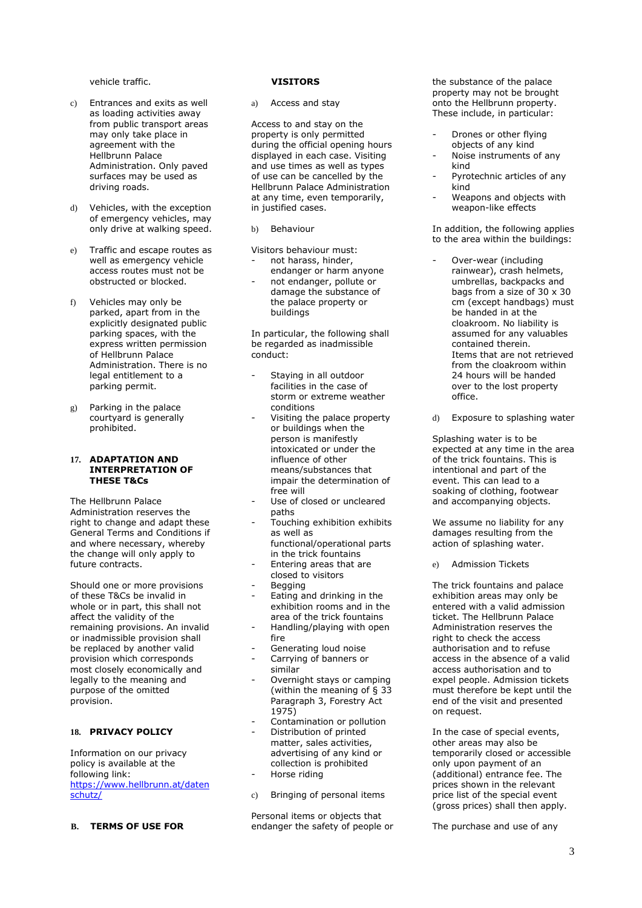vehicle traffic.

- c) Entrances and exits as well as loading activities away from public transport areas may only take place in agreement with the Hellbrunn Palace Administration. Only paved surfaces may be used as driving roads.
- d) Vehicles, with the exception of emergency vehicles, may only drive at walking speed.
- e) Traffic and escape routes as well as emergency vehicle access routes must not be obstructed or blocked.
- f) Vehicles may only be parked, apart from in the explicitly designated public parking spaces, with the express written permission of Hellbrunn Palace Administration. There is no legal entitlement to a parking permit.
- g) Parking in the palace courtyard is generally prohibited.

#### **17. ADAPTATION AND INTERPRETATION OF THESE T&Cs**

The Hellbrunn Palace Administration reserves the right to change and adapt these General Terms and Conditions if and where necessary, whereby the change will only apply to future contracts.

Should one or more provisions of these T&Cs be invalid in whole or in part, this shall not affect the validity of the remaining provisions. An invalid or inadmissible provision shall be replaced by another valid provision which corresponds most closely economically and legally to the meaning and purpose of the omitted provision.

## **18. PRIVACY POLICY**

Information on our privacy policy is available at the following link: https://www.hellbrunn.at/daten schutz/

### **B. TERMS OF USE FOR**

#### **VISITORS**

a) Access and stay

Access to and stay on the property is only permitted during the official opening hours displayed in each case. Visiting and use times as well as types of use can be cancelled by the Hellbrunn Palace Administration at any time, even temporarily, in justified cases.

b) Behaviour

Visitors behaviour must:

- not harass, hinder, endanger or harm anyone
- not endanger, pollute or damage the substance of the palace property or buildings

In particular, the following shall be regarded as inadmissible conduct:

- Staving in all outdoor facilities in the case of storm or extreme weather conditions
- Visiting the palace property or buildings when the person is manifestly intoxicated or under the influence of other means/substances that impair the determination of free will
- Use of closed or uncleared paths
- Touching exhibition exhibits as well as functional/operational parts
- in the trick fountains - Entering areas that are
- closed to visitors **Begging**
- Eating and drinking in the exhibition rooms and in the area of the trick fountains
- Handling/playing with open fire
- Generating loud noise
- Carrying of banners or similar
- Overnight stays or camping (within the meaning of § 33 Paragraph 3, Forestry Act 1975)
- Contamination or pollution
- Distribution of printed matter, sales activities,
- advertising of any kind or collection is prohibited
- Horse riding
- c) Bringing of personal items

Personal items or objects that endanger the safety of people or the substance of the palace property may not be brought onto the Hellbrunn property. These include, in particular:

- Drones or other flying objects of any kind
- Noise instruments of any kind
- Pyrotechnic articles of any kind
- Weapons and objects with weapon-like effects

In addition, the following applies to the area within the buildings:

- Over-wear (including rainwear), crash helmets, umbrellas, backpacks and bags from a size of 30  $\times$  30 cm (except handbags) must be handed in at the cloakroom. No liability is assumed for any valuables contained therein. Items that are not retrieved from the cloakroom within 24 hours will be handed over to the lost property office.
- d) Exposure to splashing water

Splashing water is to be expected at any time in the area of the trick fountains. This is intentional and part of the event. This can lead to a soaking of clothing, footwear and accompanying objects.

We assume no liability for any damages resulting from the action of splashing water.

e) Admission Tickets

The trick fountains and palace exhibition areas may only be entered with a valid admission ticket. The Hellbrunn Palace Administration reserves the right to check the access authorisation and to refuse access in the absence of a valid access authorisation and to expel people. Admission tickets must therefore be kept until the end of the visit and presented on request.

In the case of special events, other areas may also be temporarily closed or accessible only upon payment of an (additional) entrance fee. The prices shown in the relevant price list of the special event (gross prices) shall then apply.

The purchase and use of any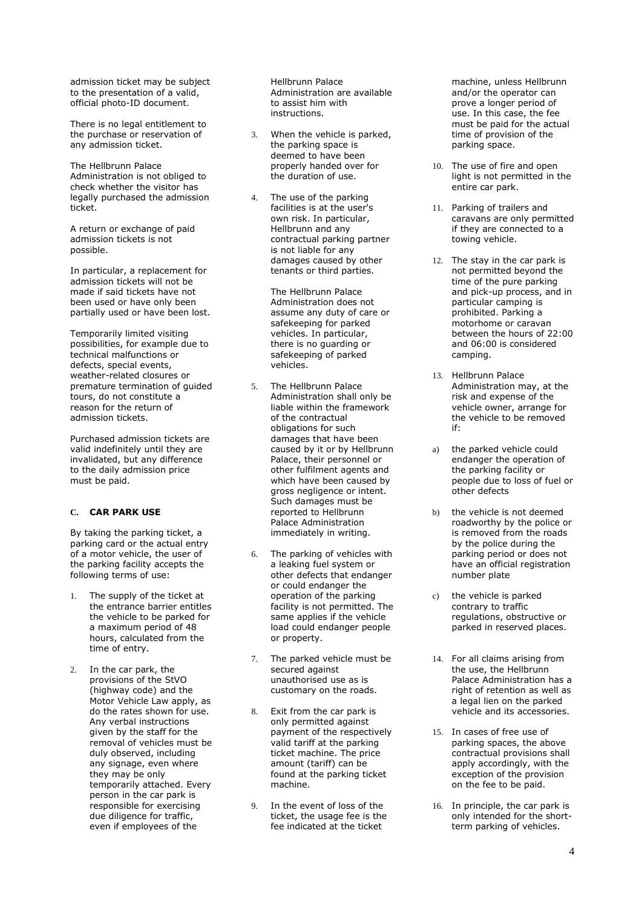admission ticket may be subject to the presentation of a valid, official photo-ID document.

There is no legal entitlement to the purchase or reservation of any admission ticket.

The Hellbrunn Palace Administration is not obliged to check whether the visitor has legally purchased the admission ticket.

A return or exchange of paid admission tickets is not possible.

In particular, a replacement for admission tickets will not be made if said tickets have not been used or have only been partially used or have been lost.

Temporarily limited visiting possibilities, for example due to technical malfunctions or defects, special events, weather-related closures or premature termination of guided tours, do not constitute a reason for the return of admission tickets.

Purchased admission tickets are valid indefinitely until they are invalidated, but any difference to the daily admission price must be paid.

## **C. CAR PARK USE**

By taking the parking ticket, a parking card or the actual entry of a motor vehicle, the user of the parking facility accepts the following terms of use:

- 1. The supply of the ticket at the entrance barrier entitles the vehicle to be parked for a maximum period of 48 hours, calculated from the time of entry.
- 2. In the car park, the provisions of the StVO (highway code) and the Motor Vehicle Law apply, as do the rates shown for use. Any verbal instructions given by the staff for the removal of vehicles must be duly observed, including any signage, even where they may be only temporarily attached. Every person in the car park is responsible for exercising due diligence for traffic, even if employees of the

Hellbrunn Palace Administration are available to assist him with instructions.

- 3. When the vehicle is parked, the parking space is deemed to have been properly handed over for the duration of use.
- 4. The use of the parking facilities is at the user's own risk. In particular, Hellbrunn and any contractual parking partner is not liable for any damages caused by other tenants or third parties.

The Hellbrunn Palace Administration does not assume any duty of care or safekeeping for parked vehicles. In particular, there is no guarding or safekeeping of parked vehicles.

- 5. The Hellbrunn Palace Administration shall only be liable within the framework of the contractual obligations for such damages that have been caused by it or by Hellbrunn Palace, their personnel or other fulfilment agents and which have been caused by gross negligence or intent. Such damages must be reported to Hellbrunn Palace Administration immediately in writing.
- 6. The parking of vehicles with a leaking fuel system or other defects that endanger or could endanger the operation of the parking facility is not permitted. The same applies if the vehicle load could endanger people or property.
- 7. The parked vehicle must be secured against unauthorised use as is customary on the roads.
- 8. Exit from the car park is only permitted against payment of the respectively valid tariff at the parking ticket machine. The price amount (tariff) can be found at the parking ticket machine.
- 9. In the event of loss of the ticket, the usage fee is the fee indicated at the ticket

machine, unless Hellbrunn and/or the operator can prove a longer period of use. In this case, the fee must be paid for the actual time of provision of the parking space.

- 10. The use of fire and open light is not permitted in the entire car park.
- 11. Parking of trailers and caravans are only permitted if they are connected to a towing vehicle.
- 12. The stay in the car park is not permitted beyond the time of the pure parking and pick-up process, and in particular camping is prohibited. Parking a motorhome or caravan between the hours of 22:00 and 06:00 is considered camping.
- 13. Hellbrunn Palace Administration may, at the risk and expense of the vehicle owner, arrange for the vehicle to be removed if:
- a) the parked vehicle could endanger the operation of the parking facility or people due to loss of fuel or other defects
- b) the vehicle is not deemed roadworthy by the police or is removed from the roads by the police during the parking period or does not have an official registration number plate
- c) the vehicle is parked contrary to traffic regulations, obstructive or parked in reserved places.
- 14. For all claims arising from the use, the Hellbrunn Palace Administration has a right of retention as well as a legal lien on the parked vehicle and its accessories.
- 15. In cases of free use of parking spaces, the above contractual provisions shall apply accordingly, with the exception of the provision on the fee to be paid.
- 16. In principle, the car park is only intended for the shortterm parking of vehicles.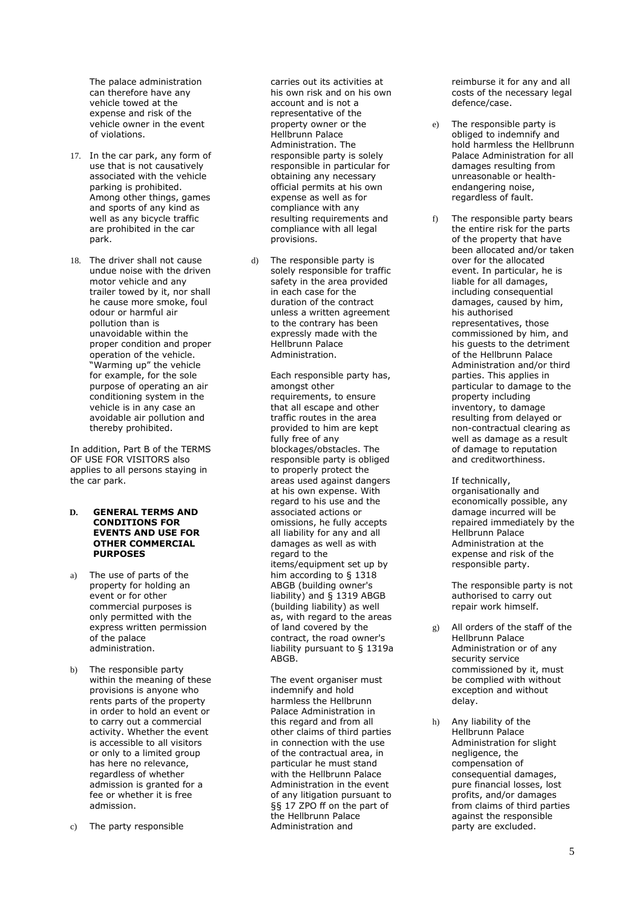The palace administration can therefore have any vehicle towed at the expense and risk of the vehicle owner in the event of violations.

- 17. In the car park, any form of use that is not causatively associated with the vehicle parking is prohibited. Among other things, games and sports of any kind as well as any bicycle traffic are prohibited in the car park.
- 18. The driver shall not cause undue noise with the driven motor vehicle and any trailer towed by it, nor shall he cause more smoke, foul odour or harmful air pollution than is unavoidable within the proper condition and proper operation of the vehicle. "Warming up" the vehicle for example, for the sole purpose of operating an air conditioning system in the vehicle is in any case an avoidable air pollution and thereby prohibited.

In addition, Part B of the TERMS OF USE FOR VISITORS also applies to all persons staying in the car park.

#### **D. GENERAL TERMS AND CONDITIONS FOR EVENTS AND USE FOR OTHER COMMERCIAL PURPOSES**

- a) The use of parts of the property for holding an event or for other commercial purposes is only permitted with the express written permission of the palace administration.
- b) The responsible party within the meaning of these provisions is anyone who rents parts of the property in order to hold an event or to carry out a commercial activity. Whether the event is accessible to all visitors or only to a limited group has here no relevance, regardless of whether admission is granted for a fee or whether it is free admission.

c) The party responsible

carries out its activities at his own risk and on his own account and is not a representative of the property owner or the Hellbrunn Palace Administration. The responsible party is solely responsible in particular for obtaining any necessary official permits at his own expense as well as for compliance with any resulting requirements and compliance with all legal provisions.

The responsible party is solely responsible for traffic safety in the area provided in each case for the duration of the contract unless a written agreement to the contrary has been expressly made with the Hellbrunn Palace Administration.

> Each responsible party has, amongst other requirements, to ensure that all escape and other traffic routes in the area provided to him are kept fully free of any blockages/obstacles. The responsible party is obliged to properly protect the areas used against dangers at his own expense. With regard to his use and the associated actions or omissions, he fully accepts all liability for any and all damages as well as with regard to the items/equipment set up by him according to § 1318 ABGB (building owner's liability) and § 1319 ABGB (building liability) as well as, with regard to the areas of land covered by the contract, the road owner's liability pursuant to § 1319a ABGB.

The event organiser must indemnify and hold harmless the Hellbrunn Palace Administration in this regard and from all other claims of third parties in connection with the use of the contractual area, in particular he must stand with the Hellbrunn Palace Administration in the event of any litigation pursuant to §§ 17 ZPO ff on the part of the Hellbrunn Palace Administration and

reimburse it for any and all costs of the necessary legal defence/case.

- e) The responsible party is obliged to indemnify and hold harmless the Hellbrunn Palace Administration for all damages resulting from unreasonable or healthendangering noise, regardless of fault.
- f) The responsible party bears the entire risk for the parts of the property that have been allocated and/or taken over for the allocated event. In particular, he is liable for all damages, including consequential damages, caused by him, his authorised representatives, those commissioned by him, and his guests to the detriment of the Hellbrunn Palace Administration and/or third parties. This applies in particular to damage to the property including inventory, to damage resulting from delayed or non-contractual clearing as well as damage as a result of damage to reputation and creditworthiness.

If technically, organisationally and economically possible, any damage incurred will be repaired immediately by the Hellbrunn Palace Administration at the expense and risk of the responsible party.

The responsible party is not authorised to carry out repair work himself.

- g) All orders of the staff of the Hellbrunn Palace Administration or of any security service commissioned by it, must be complied with without exception and without delay.
- h) Any liability of the Hellbrunn Palace Administration for slight negligence, the compensation of consequential damages, pure financial losses, lost profits, and/or damages from claims of third parties against the responsible party are excluded.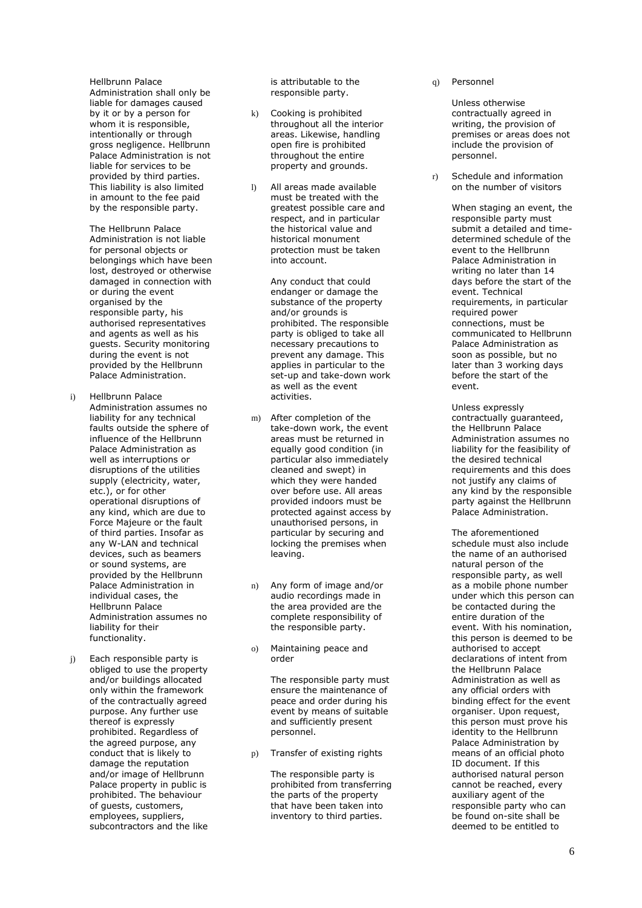Hellbrunn Palace Administration shall only be liable for damages caused by it or by a person for whom it is responsible, intentionally or through gross negligence. Hellbrunn Palace Administration is not liable for services to be provided by third parties. This liability is also limited in amount to the fee paid by the responsible party.

The Hellbrunn Palace Administration is not liable for personal objects or belongings which have been lost, destroyed or otherwise damaged in connection with or during the event organised by the responsible party, his authorised representatives and agents as well as his guests. Security monitoring during the event is not provided by the Hellbrunn Palace Administration.

- i) Hellbrunn Palace Administration assumes no liability for any technical faults outside the sphere of influence of the Hellbrunn Palace Administration as well as interruptions or disruptions of the utilities supply (electricity, water, etc.), or for other operational disruptions of any kind, which are due to Force Majeure or the fault of third parties. Insofar as any W -LAN and technical devices, such as beamers or sound systems, are provided by the Hellbrunn Palace Administration in individual cases, the Hellbrunn Palace Administration assumes no liability for their functionality.
- Each responsible party is obliged to use the property and/or buildings allocated only within the framework of the contractually agreed purpose. Any further use thereof is expressly prohibited. Regardless of the agreed purpose, any conduct that is likely to damage the reputation and/or image of Hellbrunn Palace property in public is prohibited. The behaviour of guests, customers, employees, suppliers, subcontractors and the like

is attributable to the responsible party.

- k) Cooking is prohibited throughout all the interior areas. Likewise, handling open fire is prohibited throughout the entire property and grounds.
- l) All areas made available must be treated with the greatest possible care and respect, and in particular the historical value and historical monument protection must be taken into account.

Any conduct that could endanger or damage the substance of the property and/or grounds is prohibited. The responsible party is obliged to take all necessary precautions to prevent any damage. This applies in particular to the set -up and take -down work as well as the event activities.

- m) After completion of the take -down work, the event areas must be returned in equally good condition (in particular also immediately cleaned and swept) in which they were handed over before use. All areas provided indoors must be<br>protected against access by unauthorised persons, in particular by securing and locking the premises when leaving.
- n) Any form of image and/or audio recordings made in the area provided are the complete responsibility of the responsible party.
- o) Maintaining peace and order

The responsible party must ensure the maintenance of peace and order during his event by means of suitable and sufficiently present personnel.

p) Transfer of existing rights

The responsible party is prohibited from transferring the parts of the property that have been taken into inventory to third parties.

 $\alpha$ ) Personnel

> Unless otherwise contractually agreed in writing, the provision of premises or areas does not include the provision of personnel.

r) Schedule and information on the number of visitors

> When staging an event, the responsible party must submit a detailed and time determined schedule of the event to the Hellbrunn Palace Administration in writing no later than 14 days before the start of the event. Technical requirements, in particular required power connections, must be communicated to Hellbrunn Palace Administration as soon as possible, but no later than 3 working days before the start of the event.

Unless expressly contractually guaranteed, the Hellbrunn Palace Administration assumes no liability for the feasibility of the desired technical requirements and this does not justify any claims of any kind by the responsible party against the Hellbrunn Palace Administration.

The aforementioned schedule must also include the name of an authorised natural person of the responsible party, as well as a mobile phone number under which this person can be contacted during the entire duration of the event. With his nomination, this person is deemed to be authorised to accept declarations of intent from the Hellbrunn Palace Administration as well as any official orders with binding effect for the event organiser. Upon request, this person must prove his identity to the Hellbrunn Palace Administration by means of an official photo ID document. If this authorised natural person cannot be reached, every auxiliary agent of the responsible party who can be found on -site shall be deemed to be entitled to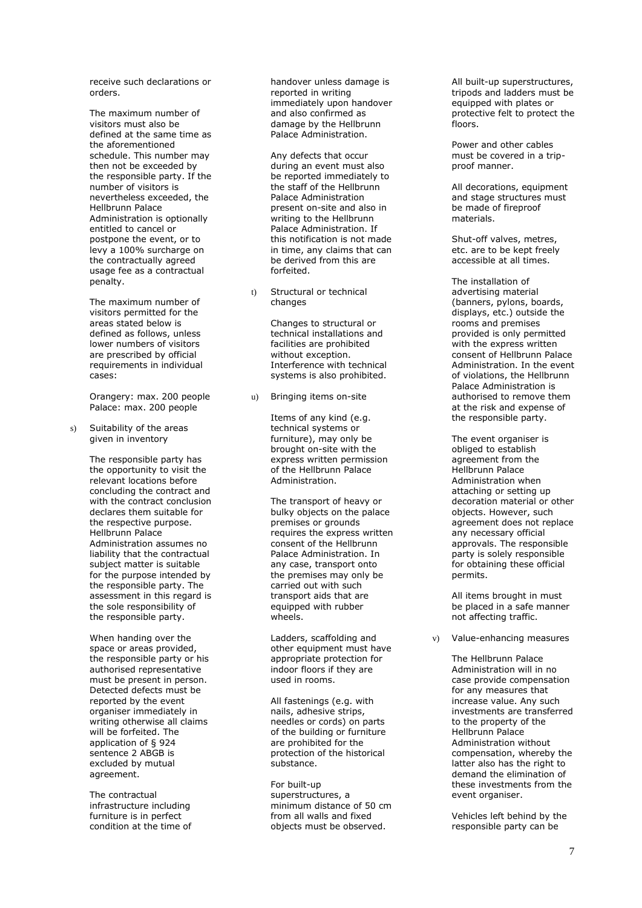receive such declarations or

The maximum number of visitors must also be defined at the same time as the aforementioned schedule. This number may then not be exceeded by the responsible party. If the number of visitors is nevertheless exceeded, the Hellbrunn Palace Administration is optionally entitled to cancel or postpone the event, or to levy a 100% surcharge on the contractually agreed usage fee as a contractual penalty.

The maximum number of visitors permitted for the areas stated below is defined as follows, unless lower numbers of visitors are prescribed by official requirements in individual cases:

Orangery: max. 200 people Palace: max. 200 people

s) Suitability of the areas given in inventory

> The responsible party has the opportunity to visit the relevant locations before concluding the contract and with the contract conclusion declares them suitable for the respective purpose. Hellbrunn Palace Administration assumes no liability that the contractual subject matter is suitable for the purpose intended by the responsible party. The assessment in this regard is the sole responsibility of the responsible party.

When handing over the space or areas provided, the responsible party or his authorised representative must be present in person. Detected defects must be reported by the event organiser immediately in writing otherwise all claims will be forfeited. The application of § 924 sentence 2 ABGB is excluded by mutual agreement.

The contractual infrastructure including furniture is in perfect condition at the time of handover unless damage is reported in writing immediately upon handover and also confirmed as damage by the Hellbrunn Palace Administration.

Any defects that occur during an event must also be reported immediately to the staff of the Hellbrunn Palace Administration present on -site and also in writing to the Hellbrunn Palace Administration. If this notification is not made in time, any claims that can be derived from this are forfeited.

t) Structural or technical changes

> Changes to structural or technical installations and facilities are prohibited without exception. Interference with technical systems is also prohibited.

u) Bringing items on -site

Items of any kind (e.g. technical systems or furniture), may only be brought on -site with the express written permission of the Hellbrunn Palace Administration.

The transport of heavy or bulky objects on the palace premises or ground s requires the express written consent of the Hellbrunn Palace Administration. In any case, transport onto the premises may only be carried out with such transport aids that are equipped with rubber wheels.

Ladders, scaffolding and other equipment must have appropriate protection for indoor floors if they are used in rooms.

All fastenings (e.g. with nails, adhesive strips, needles or cords) on parts of the building or furniture are prohibited for the protection of the historical substance.

For built -up superstructures, a minimum distance of 50 cm from all walls and fixed objects must be observed.

All built -up superstructures, tripods and ladders must be equipped with plates or protective felt to protect the floors.

Power and other cables must be covered in a trip proof manner.

All decorations, equipment and stage structures must be made of fireproof materials.

Shut -off valves, metres, etc. are to be kept freely accessible at all times.

The installation of advertising material (banners, pylons, boards, displays, etc.) outside the rooms and premises provided is only permitted with the express written consent of Hellbrunn Palace Administration. In the event of violations, the Hellbrunn Palace Administration is authori sed to remove them at the risk and expense of the responsible party.

The event organiser is obliged to establish agreement from the Hellbrunn Palace Administration when attaching or setting up decoration material or other objects. However, such agreement does not replace any necessary official approvals. The responsible party is solely responsible for obtaining these official permits.

All items brought in must be placed in a safe manner not affecting traffic.

v) Value -enhancing measures

The Hellbrunn Palace Administration will in no case provide compensation for any measures that increase value. Any such investments are transferred to the property of the Hellbrunn Palace Administration without compensation, whereby the latter also has the right to demand the elimination of these investments from the event organiser.

Vehicles left behind by the responsible party can be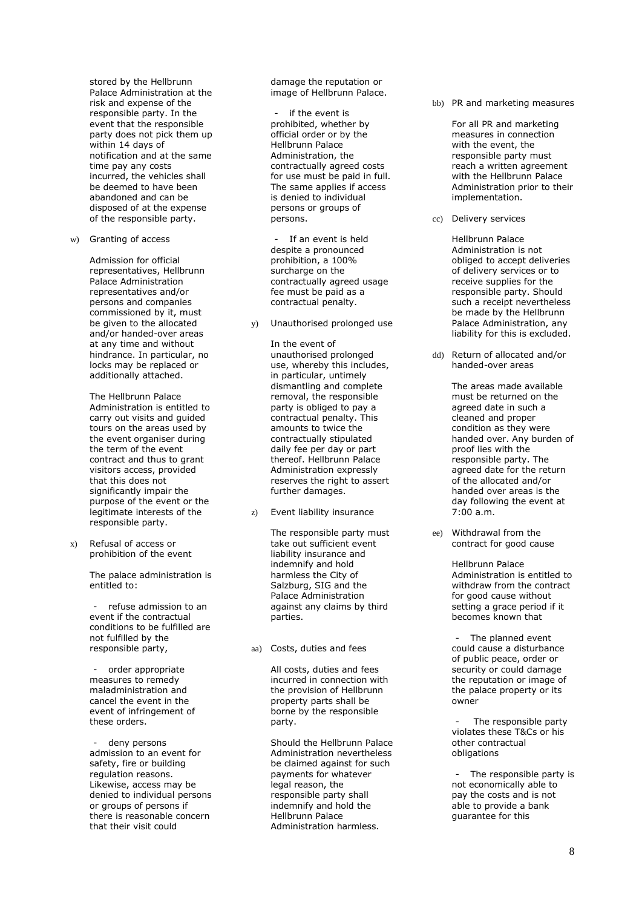stored by the Hellbrunn Palace Administration at the risk and expense of the responsible party. In the event that the responsible party does not pick them up within 14 days of notification and at the same time pay any costs incurred, the vehicles shall be deemed to have been abandoned and can be disposed of at the expense of the responsible party.

w) Granting of access

Admission for official representatives, Hellbrunn Palace Administration representatives and/or persons and companies commissioned by it, must be given to the allocated and/or handed-over areas at any time and without hindrance. In particular, no locks may be replaced or additionally attached.

The Hellbrunn Palace Administration is entitled to carry out visits and guided tours on the areas used by the event organiser during the term of the event contract and thus to grant visitors access, provided that this does not significantly impair the purpose of the event or the legitimate interests of the responsible party.

x) Refusal of access or prohibition of the event

> The palace administration is entitled to:

refuse admission to an event if the contractual conditions to be fulfilled are not fulfilled by the responsible party,

- order appropriate measures to remedy maladministration and cancel the event in the event of infringement of these orders.

deny persons admission to an event for safety, fire or building regulation reasons. Likewise, access may be denied to individual persons or groups of persons if there is reasonable concern that their visit could

damage the reputation or image of Hellbrunn Palace.

if the event is prohibited, whether by official order or by the Hellbrunn Palace Administration, the contractually agreed costs for use must be paid in full. The same applies if access is denied to individual persons or groups of persons.

If an event is held despite a pronounced prohibition, a 100% surcharge on the contractually agreed usage fee must be paid as a contractual penalty.

y) Unauthorised prolonged use

In the event of unauthorised prolonged use, whereby this includes, in particular, untimely dismantling and complete removal, the responsible party is obliged to pay a contractual penalty. This amounts to twice the contractually stipulated daily fee per day or part thereof. Hellbrunn Palace Administration expressly reserves the right to assert further damages.

z) Event liability insurance

The responsible party must take out sufficient event liability insurance and indemnify and hold harmless the City of Salzburg, SIG and the Palace Administration against any claims by third parties.

aa) Costs, duties and fees

All costs, duties and fees incurred in connection with the provision of Hellbrunn property parts shall be borne by the responsible party.

Should the Hellbrunn Palace Administration nevertheless be claimed against for such payments for whatever legal reason, the responsible party shall indemnify and hold the Hellbrunn Palace Administration harmless.

bb) PR and marketing measures

For all PR and marketing measures in connection with the event, the responsible party must reach a written agreement with the Hellbrunn Palace Administration prior to their implementation.

cc) Delivery services

Hellbrunn Palace Administration is not obliged to accept deliveries of delivery services or to receive supplies for the responsible party. Should such a receipt nevertheless be made by the Hellbrunn Palace Administration, any liability for this is excluded.

dd) Return of allocated and/or handed-over areas

> The areas made available must be returned on the agreed date in such a cleaned and proper condition as they were handed over. Any burden of proof lies with the responsible party. The agreed date for the return of the allocated and/or handed over areas is the day following the event at 7:00 a.m.

ee) Withdrawal from the contract for good cause

> Hellbrunn Palace Administration is entitled to withdraw from the contract for good cause without setting a grace period if it becomes known that

The planned event could cause a disturbance of public peace, order or security or could damage the reputation or image of the palace property or its owner

The responsible party violates these T&Cs or his other contractual obligations

The responsible party is not economically able to pay the costs and is not able to provide a bank guarantee for this